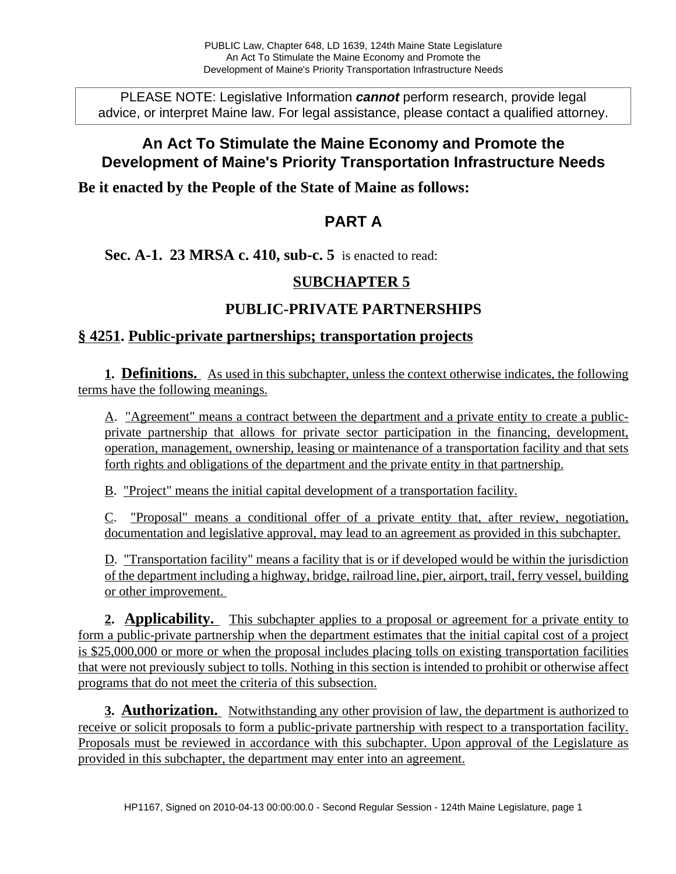PLEASE NOTE: Legislative Information **cannot** perform research, provide legal advice, or interpret Maine law. For legal assistance, please contact a qualified attorney.

# **An Act To Stimulate the Maine Economy and Promote the Development of Maine's Priority Transportation Infrastructure Needs**

**Be it enacted by the People of the State of Maine as follows:**

## **PART A**

#### **Sec. A-1. 23 MRSA c. 410, sub-c. 5** is enacted to read:

### **SUBCHAPTER 5**

### **PUBLIC-PRIVATE PARTNERSHIPS**

#### **§ 4251. Public-private partnerships; transportation projects**

**1. Definitions.** As used in this subchapter, unless the context otherwise indicates, the following terms have the following meanings.

A. "Agreement" means a contract between the department and a private entity to create a publicprivate partnership that allows for private sector participation in the financing, development, operation, management, ownership, leasing or maintenance of a transportation facility and that sets forth rights and obligations of the department and the private entity in that partnership.

B. "Project" means the initial capital development of a transportation facility.

C. "Proposal" means a conditional offer of a private entity that, after review, negotiation, documentation and legislative approval, may lead to an agreement as provided in this subchapter.

D. "Transportation facility" means a facility that is or if developed would be within the jurisdiction of the department including a highway, bridge, railroad line, pier, airport, trail, ferry vessel, building or other improvement.

**2. Applicability.** This subchapter applies to a proposal or agreement for a private entity to form a public-private partnership when the department estimates that the initial capital cost of a project is \$25,000,000 or more or when the proposal includes placing tolls on existing transportation facilities that were not previously subject to tolls. Nothing in this section is intended to prohibit or otherwise affect programs that do not meet the criteria of this subsection.

**3. Authorization.** Notwithstanding any other provision of law, the department is authorized to receive or solicit proposals to form a public-private partnership with respect to a transportation facility. Proposals must be reviewed in accordance with this subchapter. Upon approval of the Legislature as provided in this subchapter, the department may enter into an agreement.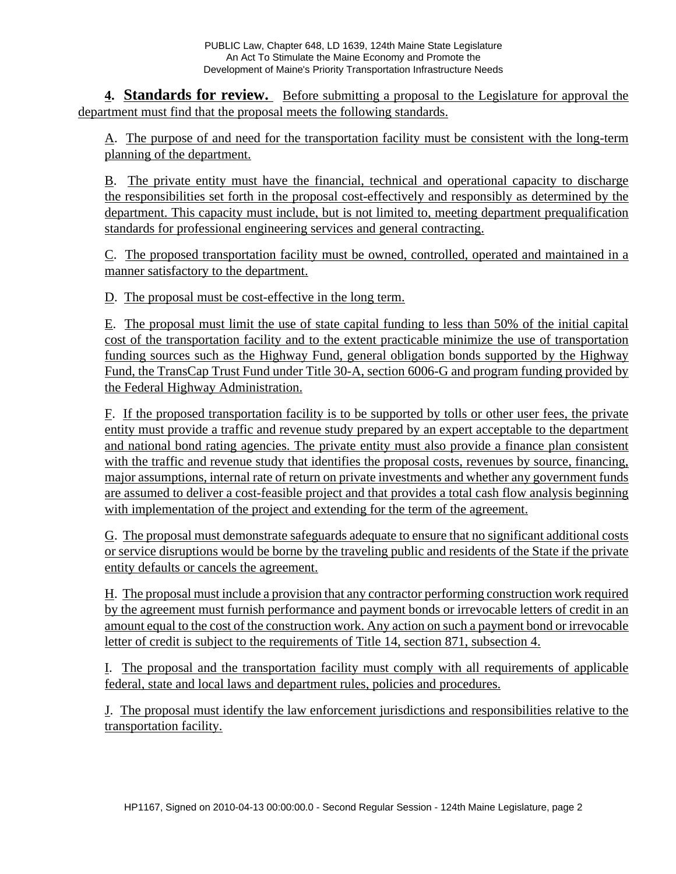**4. Standards for review.** Before submitting a proposal to the Legislature for approval the department must find that the proposal meets the following standards.

A. The purpose of and need for the transportation facility must be consistent with the long-term planning of the department.

B. The private entity must have the financial, technical and operational capacity to discharge the responsibilities set forth in the proposal cost-effectively and responsibly as determined by the department. This capacity must include, but is not limited to, meeting department prequalification standards for professional engineering services and general contracting.

C. The proposed transportation facility must be owned, controlled, operated and maintained in a manner satisfactory to the department.

D. The proposal must be cost-effective in the long term.

E. The proposal must limit the use of state capital funding to less than 50% of the initial capital cost of the transportation facility and to the extent practicable minimize the use of transportation funding sources such as the Highway Fund, general obligation bonds supported by the Highway Fund, the TransCap Trust Fund under Title 30-A, section 6006-G and program funding provided by the Federal Highway Administration.

F. If the proposed transportation facility is to be supported by tolls or other user fees, the private entity must provide a traffic and revenue study prepared by an expert acceptable to the department and national bond rating agencies. The private entity must also provide a finance plan consistent with the traffic and revenue study that identifies the proposal costs, revenues by source, financing, major assumptions, internal rate of return on private investments and whether any government funds are assumed to deliver a cost-feasible project and that provides a total cash flow analysis beginning with implementation of the project and extending for the term of the agreement.

G. The proposal must demonstrate safeguards adequate to ensure that no significant additional costs or service disruptions would be borne by the traveling public and residents of the State if the private entity defaults or cancels the agreement.

H. The proposal must include a provision that any contractor performing construction work required by the agreement must furnish performance and payment bonds or irrevocable letters of credit in an amount equal to the cost of the construction work. Any action on such a payment bond or irrevocable letter of credit is subject to the requirements of Title 14, section 871, subsection 4.

I. The proposal and the transportation facility must comply with all requirements of applicable federal, state and local laws and department rules, policies and procedures.

J. The proposal must identify the law enforcement jurisdictions and responsibilities relative to the transportation facility.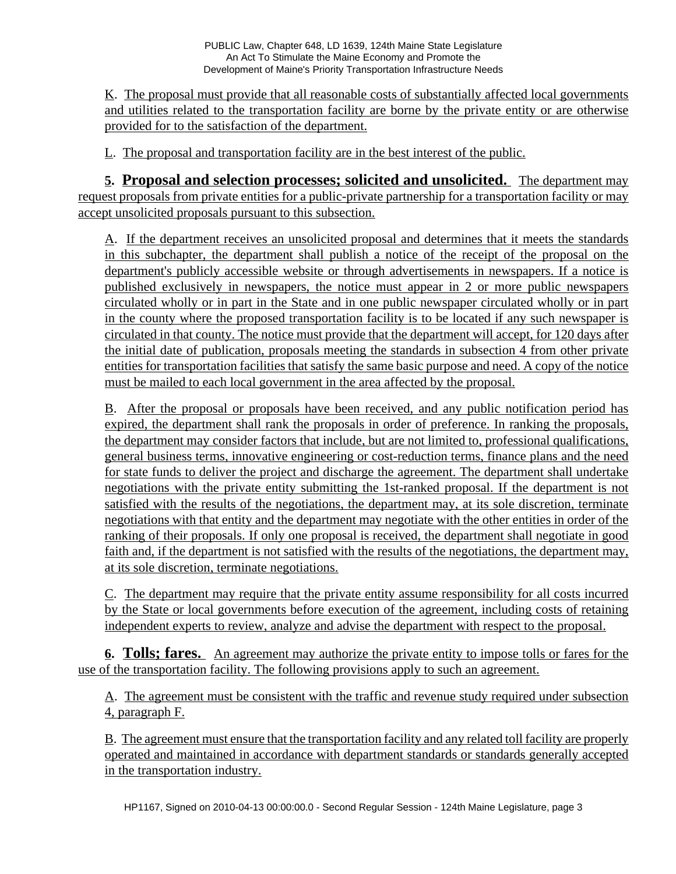K. The proposal must provide that all reasonable costs of substantially affected local governments and utilities related to the transportation facility are borne by the private entity or are otherwise provided for to the satisfaction of the department.

L. The proposal and transportation facility are in the best interest of the public.

**5. Proposal and selection processes; solicited and unsolicited.** The department may request proposals from private entities for a public-private partnership for a transportation facility or may accept unsolicited proposals pursuant to this subsection.

A. If the department receives an unsolicited proposal and determines that it meets the standards in this subchapter, the department shall publish a notice of the receipt of the proposal on the department's publicly accessible website or through advertisements in newspapers. If a notice is published exclusively in newspapers, the notice must appear in 2 or more public newspapers circulated wholly or in part in the State and in one public newspaper circulated wholly or in part in the county where the proposed transportation facility is to be located if any such newspaper is circulated in that county. The notice must provide that the department will accept, for 120 days after the initial date of publication, proposals meeting the standards in subsection 4 from other private entities for transportation facilities that satisfy the same basic purpose and need. A copy of the notice must be mailed to each local government in the area affected by the proposal.

B. After the proposal or proposals have been received, and any public notification period has expired, the department shall rank the proposals in order of preference. In ranking the proposals, the department may consider factors that include, but are not limited to, professional qualifications, general business terms, innovative engineering or cost-reduction terms, finance plans and the need for state funds to deliver the project and discharge the agreement. The department shall undertake negotiations with the private entity submitting the 1st-ranked proposal. If the department is not satisfied with the results of the negotiations, the department may, at its sole discretion, terminate negotiations with that entity and the department may negotiate with the other entities in order of the ranking of their proposals. If only one proposal is received, the department shall negotiate in good faith and, if the department is not satisfied with the results of the negotiations, the department may, at its sole discretion, terminate negotiations.

C. The department may require that the private entity assume responsibility for all costs incurred by the State or local governments before execution of the agreement, including costs of retaining independent experts to review, analyze and advise the department with respect to the proposal.

**6. Tolls; fares.** An agreement may authorize the private entity to impose tolls or fares for the use of the transportation facility. The following provisions apply to such an agreement.

A. The agreement must be consistent with the traffic and revenue study required under subsection 4, paragraph F.

B. The agreement must ensure that the transportation facility and any related toll facility are properly operated and maintained in accordance with department standards or standards generally accepted in the transportation industry.

HP1167, Signed on 2010-04-13 00:00:00.0 - Second Regular Session - 124th Maine Legislature, page 3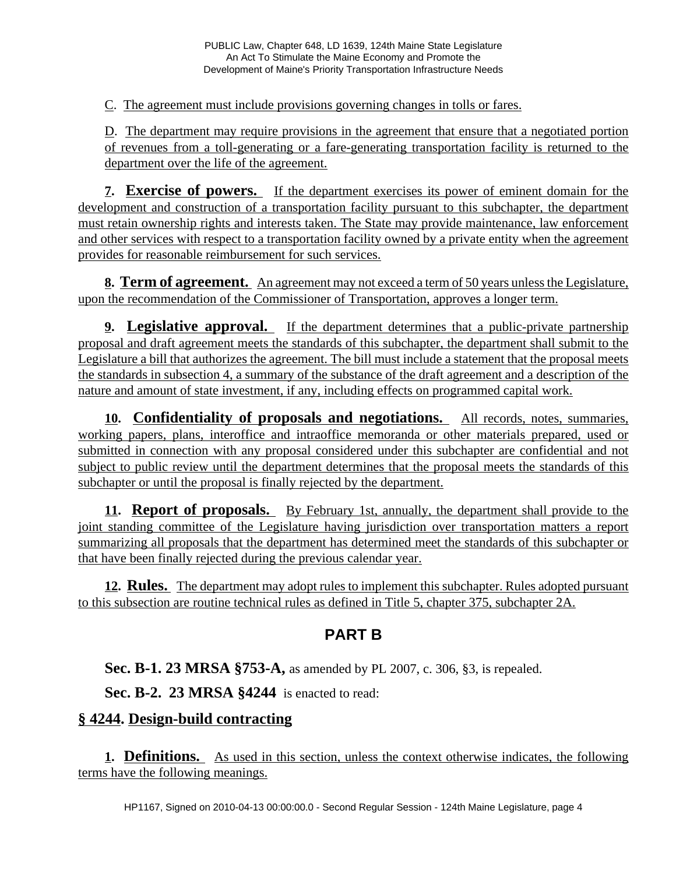C. The agreement must include provisions governing changes in tolls or fares.

D. The department may require provisions in the agreement that ensure that a negotiated portion of revenues from a toll-generating or a fare-generating transportation facility is returned to the department over the life of the agreement.

**7. Exercise of powers.** If the department exercises its power of eminent domain for the development and construction of a transportation facility pursuant to this subchapter, the department must retain ownership rights and interests taken. The State may provide maintenance, law enforcement and other services with respect to a transportation facility owned by a private entity when the agreement provides for reasonable reimbursement for such services.

**8. Term of agreement.** An agreement may not exceed a term of 50 years unless the Legislature, upon the recommendation of the Commissioner of Transportation, approves a longer term.

**9. Legislative approval.** If the department determines that a public-private partnership proposal and draft agreement meets the standards of this subchapter, the department shall submit to the Legislature a bill that authorizes the agreement. The bill must include a statement that the proposal meets the standards in subsection 4, a summary of the substance of the draft agreement and a description of the nature and amount of state investment, if any, including effects on programmed capital work.

**10. Confidentiality of proposals and negotiations.** All records, notes, summaries, working papers, plans, interoffice and intraoffice memoranda or other materials prepared, used or submitted in connection with any proposal considered under this subchapter are confidential and not subject to public review until the department determines that the proposal meets the standards of this subchapter or until the proposal is finally rejected by the department.

**11. Report of proposals.** By February 1st, annually, the department shall provide to the joint standing committee of the Legislature having jurisdiction over transportation matters a report summarizing all proposals that the department has determined meet the standards of this subchapter or that have been finally rejected during the previous calendar year.

**12. Rules.** The department may adopt rules to implement this subchapter. Rules adopted pursuant to this subsection are routine technical rules as defined in Title 5, chapter 375, subchapter 2A.

# **PART B**

**Sec. B-1. 23 MRSA §753-A,** as amended by PL 2007, c. 306, §3, is repealed.

**Sec. B-2. 23 MRSA §4244** is enacted to read:

### **§ 4244. Design-build contracting**

**1. Definitions.** As used in this section, unless the context otherwise indicates, the following terms have the following meanings.

HP1167, Signed on 2010-04-13 00:00:00.0 - Second Regular Session - 124th Maine Legislature, page 4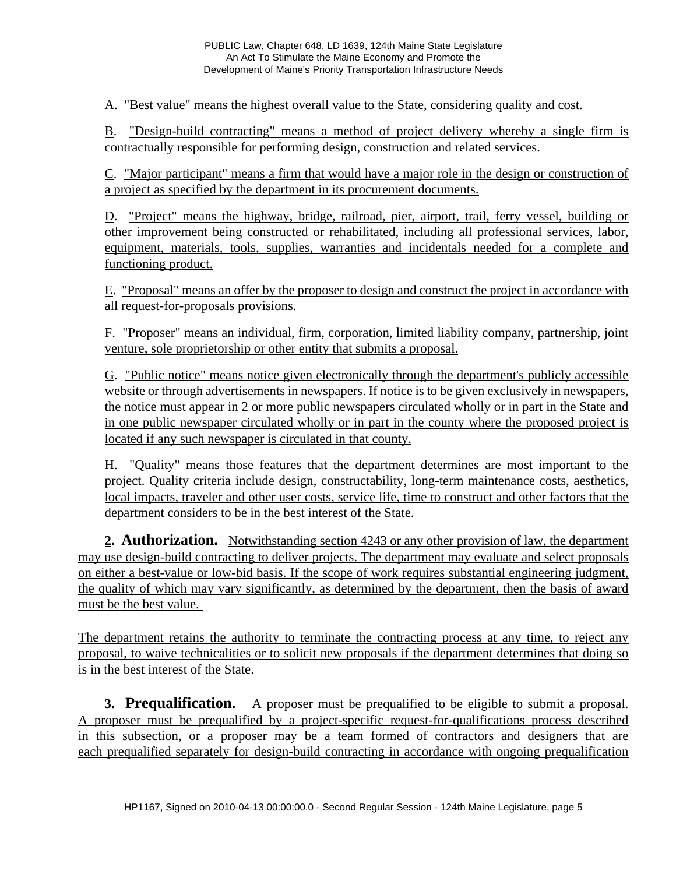A. "Best value" means the highest overall value to the State, considering quality and cost.

B. "Design-build contracting" means a method of project delivery whereby a single firm is contractually responsible for performing design, construction and related services.

C. "Major participant" means a firm that would have a major role in the design or construction of a project as specified by the department in its procurement documents.

D. "Project" means the highway, bridge, railroad, pier, airport, trail, ferry vessel, building or other improvement being constructed or rehabilitated, including all professional services, labor, equipment, materials, tools, supplies, warranties and incidentals needed for a complete and functioning product.

E. "Proposal" means an offer by the proposer to design and construct the project in accordance with all request-for-proposals provisions.

F. "Proposer" means an individual, firm, corporation, limited liability company, partnership, joint venture, sole proprietorship or other entity that submits a proposal.

G. "Public notice" means notice given electronically through the department's publicly accessible website or through advertisements in newspapers. If notice is to be given exclusively in newspapers, the notice must appear in 2 or more public newspapers circulated wholly or in part in the State and in one public newspaper circulated wholly or in part in the county where the proposed project is located if any such newspaper is circulated in that county.

H. "Quality" means those features that the department determines are most important to the project. Quality criteria include design, constructability, long-term maintenance costs, aesthetics, local impacts, traveler and other user costs, service life, time to construct and other factors that the department considers to be in the best interest of the State.

**2. Authorization.** Notwithstanding section 4243 or any other provision of law, the department may use design-build contracting to deliver projects. The department may evaluate and select proposals on either a best-value or low-bid basis. If the scope of work requires substantial engineering judgment, the quality of which may vary significantly, as determined by the department, then the basis of award must be the best value.

The department retains the authority to terminate the contracting process at any time, to reject any proposal, to waive technicalities or to solicit new proposals if the department determines that doing so is in the best interest of the State.

**3. Prequalification.** A proposer must be prequalified to be eligible to submit a proposal. A proposer must be prequalified by a project-specific request-for-qualifications process described in this subsection, or a proposer may be a team formed of contractors and designers that are each prequalified separately for design-build contracting in accordance with ongoing prequalification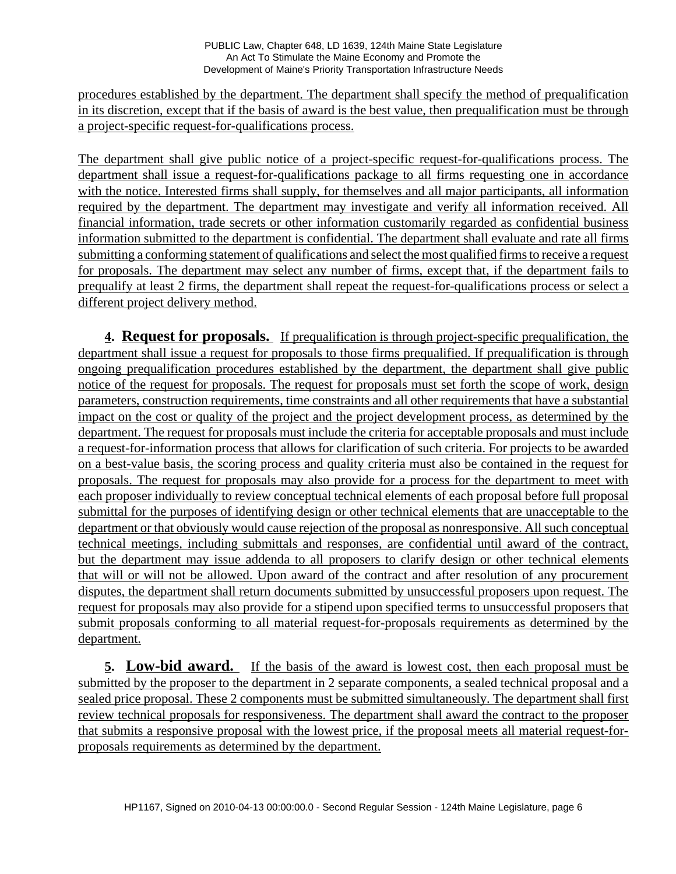procedures established by the department. The department shall specify the method of prequalification in its discretion, except that if the basis of award is the best value, then prequalification must be through a project-specific request-for-qualifications process.

The department shall give public notice of a project-specific request-for-qualifications process. The department shall issue a request-for-qualifications package to all firms requesting one in accordance with the notice. Interested firms shall supply, for themselves and all major participants, all information required by the department. The department may investigate and verify all information received. All financial information, trade secrets or other information customarily regarded as confidential business information submitted to the department is confidential. The department shall evaluate and rate all firms submitting a conforming statement of qualifications and select the most qualified firms to receive a request for proposals. The department may select any number of firms, except that, if the department fails to prequalify at least 2 firms, the department shall repeat the request-for-qualifications process or select a different project delivery method.

**4. Request for proposals.** If prequalification is through project-specific prequalification, the department shall issue a request for proposals to those firms prequalified. If prequalification is through ongoing prequalification procedures established by the department, the department shall give public notice of the request for proposals. The request for proposals must set forth the scope of work, design parameters, construction requirements, time constraints and all other requirements that have a substantial impact on the cost or quality of the project and the project development process, as determined by the department. The request for proposals must include the criteria for acceptable proposals and must include a request-for-information process that allows for clarification of such criteria. For projects to be awarded on a best-value basis, the scoring process and quality criteria must also be contained in the request for proposals. The request for proposals may also provide for a process for the department to meet with each proposer individually to review conceptual technical elements of each proposal before full proposal submittal for the purposes of identifying design or other technical elements that are unacceptable to the department or that obviously would cause rejection of the proposal as nonresponsive. All such conceptual technical meetings, including submittals and responses, are confidential until award of the contract, but the department may issue addenda to all proposers to clarify design or other technical elements that will or will not be allowed. Upon award of the contract and after resolution of any procurement disputes, the department shall return documents submitted by unsuccessful proposers upon request. The request for proposals may also provide for a stipend upon specified terms to unsuccessful proposers that submit proposals conforming to all material request-for-proposals requirements as determined by the department.

**5. Low-bid award.** If the basis of the award is lowest cost, then each proposal must be submitted by the proposer to the department in 2 separate components, a sealed technical proposal and a sealed price proposal. These 2 components must be submitted simultaneously. The department shall first review technical proposals for responsiveness. The department shall award the contract to the proposer that submits a responsive proposal with the lowest price, if the proposal meets all material request-forproposals requirements as determined by the department.